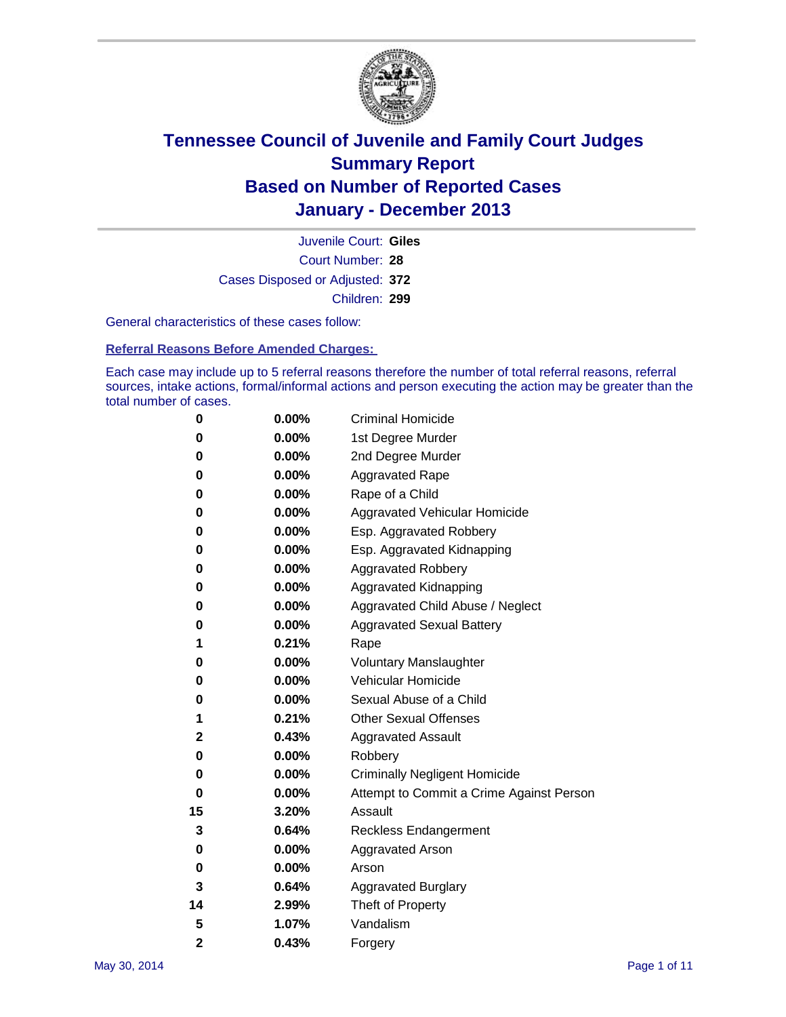

Court Number: **28** Juvenile Court: **Giles** Cases Disposed or Adjusted: **372** Children: **299**

General characteristics of these cases follow:

**Referral Reasons Before Amended Charges:** 

Each case may include up to 5 referral reasons therefore the number of total referral reasons, referral sources, intake actions, formal/informal actions and person executing the action may be greater than the total number of cases.

| 0              | $0.00\%$ | <b>Criminal Homicide</b>                 |
|----------------|----------|------------------------------------------|
| 0              | 0.00%    | 1st Degree Murder                        |
| 0              | 0.00%    | 2nd Degree Murder                        |
| 0              | $0.00\%$ | <b>Aggravated Rape</b>                   |
| 0              | 0.00%    | Rape of a Child                          |
| 0              | 0.00%    | <b>Aggravated Vehicular Homicide</b>     |
| 0              | 0.00%    | Esp. Aggravated Robbery                  |
| 0              | 0.00%    | Esp. Aggravated Kidnapping               |
| 0              | $0.00\%$ | <b>Aggravated Robbery</b>                |
| 0              | 0.00%    | Aggravated Kidnapping                    |
| 0              | 0.00%    | Aggravated Child Abuse / Neglect         |
| 0              | 0.00%    | <b>Aggravated Sexual Battery</b>         |
| 1              | 0.21%    | Rape                                     |
| 0              | 0.00%    | <b>Voluntary Manslaughter</b>            |
| 0              | 0.00%    | Vehicular Homicide                       |
| 0              | 0.00%    | Sexual Abuse of a Child                  |
| 1              | 0.21%    | <b>Other Sexual Offenses</b>             |
| 2              | 0.43%    | <b>Aggravated Assault</b>                |
| 0              | 0.00%    | Robbery                                  |
| 0              | $0.00\%$ | <b>Criminally Negligent Homicide</b>     |
| 0              | 0.00%    | Attempt to Commit a Crime Against Person |
| 15             | 3.20%    | Assault                                  |
| 3              | 0.64%    | <b>Reckless Endangerment</b>             |
| 0              | 0.00%    | <b>Aggravated Arson</b>                  |
| 0              | 0.00%    | Arson                                    |
| 3              | 0.64%    | <b>Aggravated Burglary</b>               |
| 14             | 2.99%    | Theft of Property                        |
| 5              | 1.07%    | Vandalism                                |
| $\overline{2}$ | 0.43%    | Forgery                                  |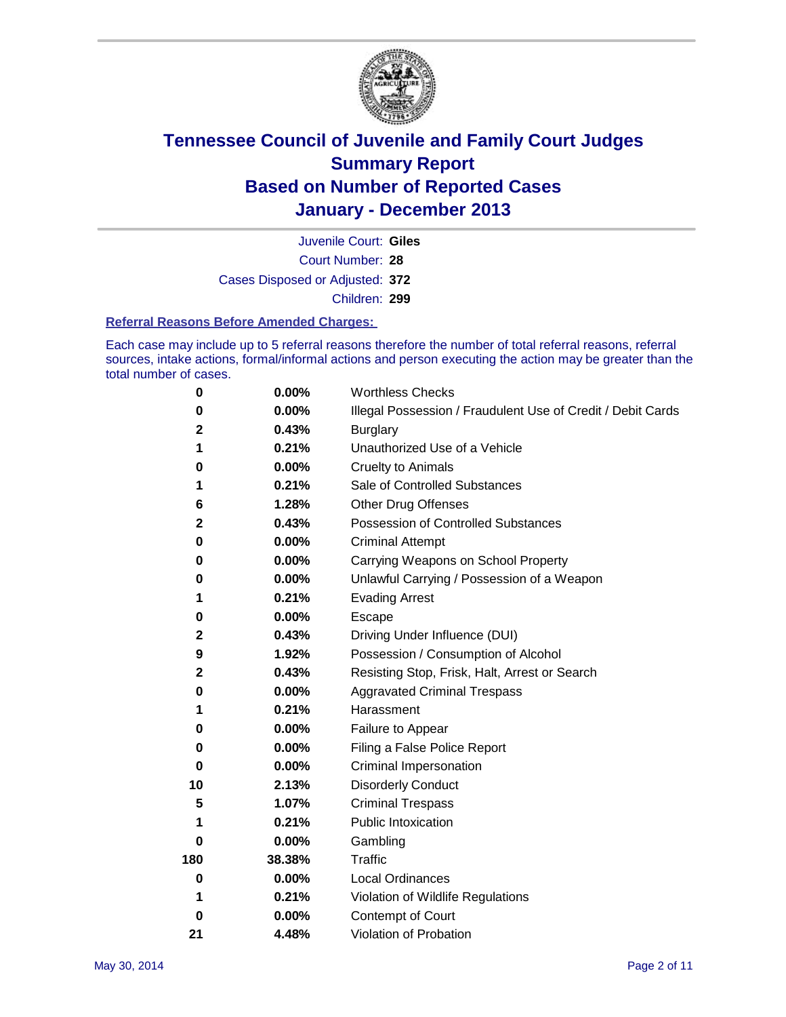

Court Number: **28** Juvenile Court: **Giles** Cases Disposed or Adjusted: **372** Children: **299**

#### **Referral Reasons Before Amended Charges:**

Each case may include up to 5 referral reasons therefore the number of total referral reasons, referral sources, intake actions, formal/informal actions and person executing the action may be greater than the total number of cases.

| 0                | 0.00%    | <b>Worthless Checks</b>                                     |
|------------------|----------|-------------------------------------------------------------|
| 0                | 0.00%    | Illegal Possession / Fraudulent Use of Credit / Debit Cards |
| 2                | 0.43%    | <b>Burglary</b>                                             |
| 1                | 0.21%    | Unauthorized Use of a Vehicle                               |
| 0                | 0.00%    | <b>Cruelty to Animals</b>                                   |
| 1                | 0.21%    | Sale of Controlled Substances                               |
| 6                | 1.28%    | <b>Other Drug Offenses</b>                                  |
| $\mathbf 2$      | 0.43%    | Possession of Controlled Substances                         |
| 0                | 0.00%    | <b>Criminal Attempt</b>                                     |
| 0                | 0.00%    | Carrying Weapons on School Property                         |
| 0                | 0.00%    | Unlawful Carrying / Possession of a Weapon                  |
| 1                | 0.21%    | <b>Evading Arrest</b>                                       |
| 0                | 0.00%    | Escape                                                      |
| $\mathbf 2$      | 0.43%    | Driving Under Influence (DUI)                               |
| $\boldsymbol{9}$ | 1.92%    | Possession / Consumption of Alcohol                         |
| $\mathbf 2$      | 0.43%    | Resisting Stop, Frisk, Halt, Arrest or Search               |
| 0                | 0.00%    | <b>Aggravated Criminal Trespass</b>                         |
| 1                | 0.21%    | Harassment                                                  |
| 0                | 0.00%    | Failure to Appear                                           |
| 0                | 0.00%    | Filing a False Police Report                                |
| 0                | $0.00\%$ | Criminal Impersonation                                      |
| 10               | 2.13%    | <b>Disorderly Conduct</b>                                   |
| 5                | 1.07%    | <b>Criminal Trespass</b>                                    |
| 1                | 0.21%    | <b>Public Intoxication</b>                                  |
| 0                | 0.00%    | Gambling                                                    |
| 180              | 38.38%   | Traffic                                                     |
| $\bf{0}$         | $0.00\%$ | <b>Local Ordinances</b>                                     |
| 1                | 0.21%    | Violation of Wildlife Regulations                           |
| 0                | 0.00%    | Contempt of Court                                           |
| 21               | 4.48%    | Violation of Probation                                      |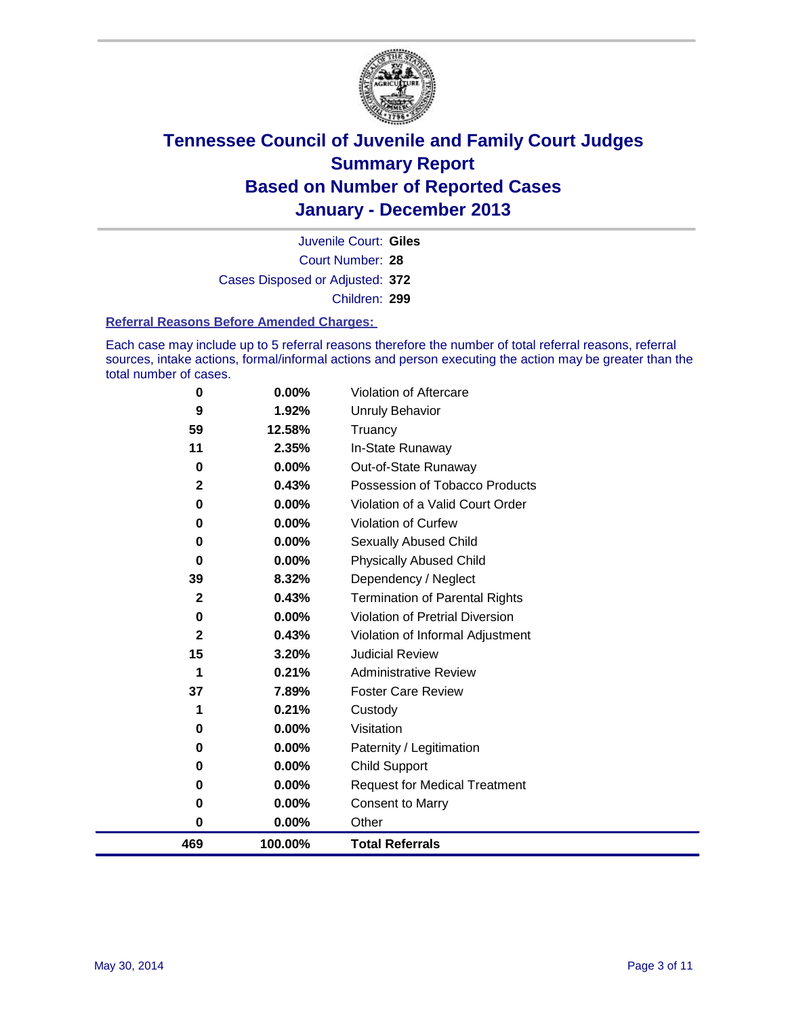

Court Number: **28** Juvenile Court: **Giles** Cases Disposed or Adjusted: **372** Children: **299**

#### **Referral Reasons Before Amended Charges:**

Each case may include up to 5 referral reasons therefore the number of total referral reasons, referral sources, intake actions, formal/informal actions and person executing the action may be greater than the total number of cases.

| 469          | 100.00%                                                        | <b>Total Referrals</b>                                                                                 |
|--------------|----------------------------------------------------------------|--------------------------------------------------------------------------------------------------------|
| 0            | $0.00\%$                                                       | Other                                                                                                  |
| 0            | $0.00\%$                                                       | <b>Consent to Marry</b>                                                                                |
| 0            | 0.00%                                                          | <b>Request for Medical Treatment</b>                                                                   |
| 0            | $0.00\%$                                                       | Child Support                                                                                          |
| $\bf{0}$     | 0.00%                                                          | Paternity / Legitimation                                                                               |
| 0            | 0.00%                                                          | Visitation                                                                                             |
| 1            | 0.21%                                                          | Custody                                                                                                |
| 37           | 7.89%                                                          | <b>Foster Care Review</b>                                                                              |
| 1            | 0.21%                                                          | <b>Administrative Review</b>                                                                           |
| 15           | 3.20%                                                          | <b>Judicial Review</b>                                                                                 |
| $\mathbf 2$  | 0.43%                                                          | Violation of Informal Adjustment                                                                       |
| 0            | 0.00%                                                          | Violation of Pretrial Diversion                                                                        |
| $\mathbf{2}$ |                                                                | <b>Termination of Parental Rights</b>                                                                  |
|              |                                                                | Dependency / Neglect                                                                                   |
| 0            |                                                                | <b>Physically Abused Child</b>                                                                         |
| 0            |                                                                | <b>Sexually Abused Child</b>                                                                           |
|              |                                                                | Violation of Curfew                                                                                    |
|              |                                                                | Violation of a Valid Court Order                                                                       |
|              |                                                                | Possession of Tobacco Products                                                                         |
|              |                                                                | Out-of-State Runaway                                                                                   |
|              |                                                                | In-State Runaway                                                                                       |
|              |                                                                | Unruly Behavior<br>Truancy                                                                             |
|              | 0.00%                                                          | Violation of Aftercare                                                                                 |
|              | 0<br>9<br>59<br>11<br>0<br>$\mathbf{2}$<br>$\bf{0}$<br>0<br>39 | 1.92%<br>12.58%<br>2.35%<br>$0.00\%$<br>0.43%<br>$0.00\%$<br>0.00%<br>0.00%<br>0.00%<br>8.32%<br>0.43% |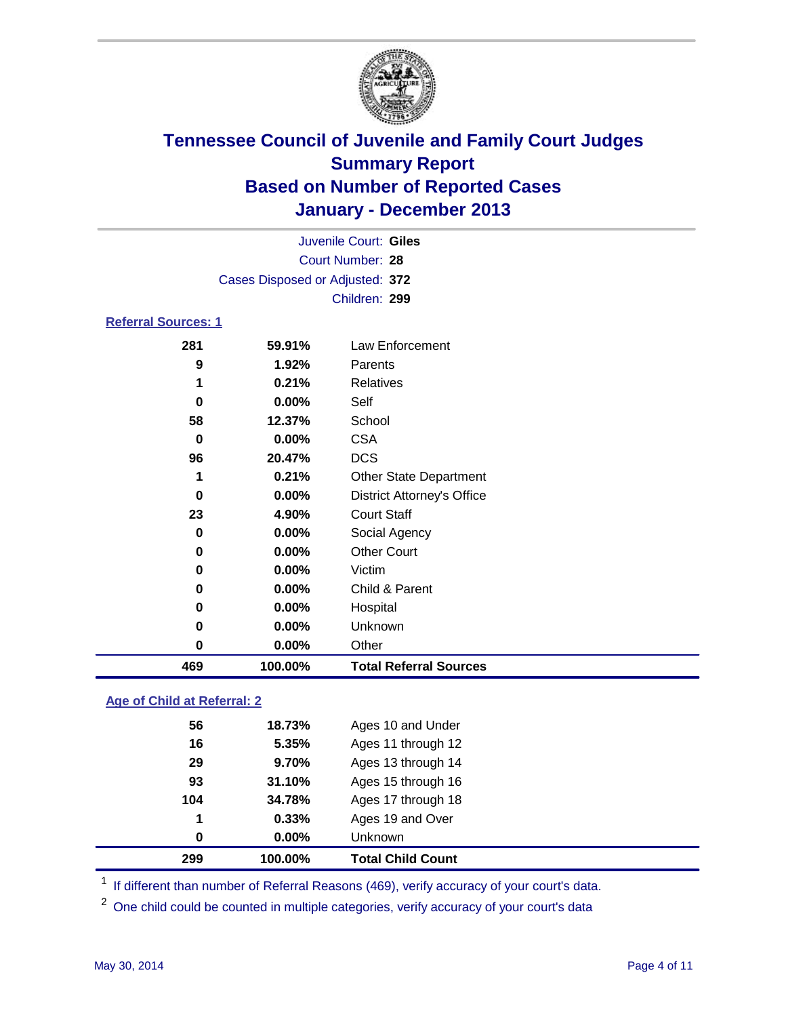

|                            |                                 | Juvenile Court: Giles             |  |  |  |
|----------------------------|---------------------------------|-----------------------------------|--|--|--|
|                            | Court Number: 28                |                                   |  |  |  |
|                            | Cases Disposed or Adjusted: 372 |                                   |  |  |  |
|                            |                                 | Children: 299                     |  |  |  |
| <b>Referral Sources: 1</b> |                                 |                                   |  |  |  |
| 281                        | 59.91%                          | Law Enforcement                   |  |  |  |
| 9                          | 1.92%                           | Parents                           |  |  |  |
| 1                          | 0.21%                           | <b>Relatives</b>                  |  |  |  |
| $\bf{0}$                   | 0.00%                           | Self                              |  |  |  |
| 58                         | 12.37%                          | School                            |  |  |  |
| $\bf{0}$                   | $0.00\%$                        | <b>CSA</b>                        |  |  |  |
| 96                         | 20.47%                          | <b>DCS</b>                        |  |  |  |
| 1                          | 0.21%                           | <b>Other State Department</b>     |  |  |  |
| $\bf{0}$                   | 0.00%                           | <b>District Attorney's Office</b> |  |  |  |
| 23                         | 4.90%                           | <b>Court Staff</b>                |  |  |  |
| 0                          | 0.00%                           | Social Agency                     |  |  |  |
| 0                          | 0.00%                           | <b>Other Court</b>                |  |  |  |
| 0                          | $0.00\%$                        | Victim                            |  |  |  |
| 0                          | 0.00%                           | Child & Parent                    |  |  |  |
| $\bf{0}$                   | 0.00%                           | Hospital                          |  |  |  |
| 0                          | 0.00%                           | Unknown                           |  |  |  |
| 0                          | 0.00%                           | Other                             |  |  |  |
| 469                        | 100.00%                         | <b>Total Referral Sources</b>     |  |  |  |

### **Age of Child at Referral: 2**

| 299 | 100.00% | <b>Total Child Count</b> |
|-----|---------|--------------------------|
| 0   | 0.00%   | <b>Unknown</b>           |
| 1   | 0.33%   | Ages 19 and Over         |
| 104 | 34.78%  | Ages 17 through 18       |
| 93  | 31.10%  | Ages 15 through 16       |
| 29  | 9.70%   | Ages 13 through 14       |
| 16  | 5.35%   | Ages 11 through 12       |
| 56  | 18.73%  | Ages 10 and Under        |
|     |         |                          |

<sup>1</sup> If different than number of Referral Reasons (469), verify accuracy of your court's data.

<sup>2</sup> One child could be counted in multiple categories, verify accuracy of your court's data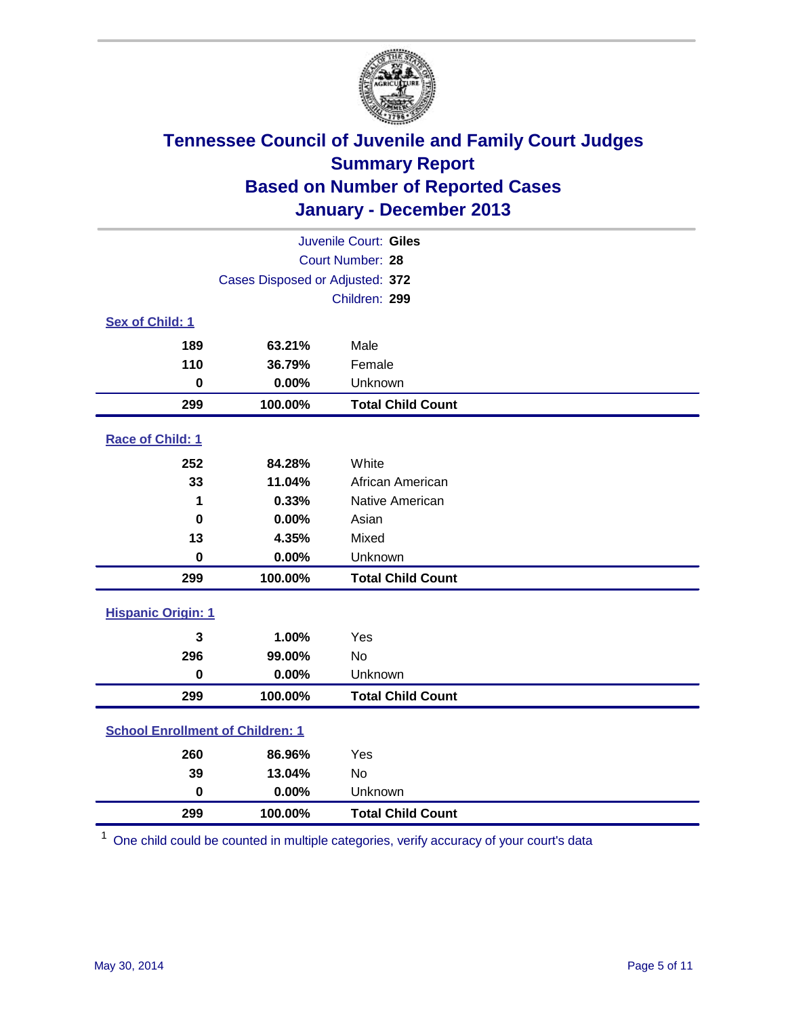

| Juvenile Court: Giles                   |                                 |                          |  |  |
|-----------------------------------------|---------------------------------|--------------------------|--|--|
|                                         |                                 | Court Number: 28         |  |  |
|                                         | Cases Disposed or Adjusted: 372 |                          |  |  |
|                                         |                                 | Children: 299            |  |  |
| Sex of Child: 1                         |                                 |                          |  |  |
| 189                                     | 63.21%                          | Male                     |  |  |
| 110                                     | 36.79%                          | Female                   |  |  |
| $\mathbf 0$                             | 0.00%                           | Unknown                  |  |  |
| 299                                     | 100.00%                         | <b>Total Child Count</b> |  |  |
| Race of Child: 1                        |                                 |                          |  |  |
| 252                                     | 84.28%                          | White                    |  |  |
| 33                                      | 11.04%                          | African American         |  |  |
| 1                                       | 0.33%                           | Native American          |  |  |
| $\mathbf 0$                             | 0.00%                           | Asian                    |  |  |
| 13                                      | 4.35%                           | Mixed                    |  |  |
| $\bf{0}$                                | 0.00%                           | Unknown                  |  |  |
| 299                                     | 100.00%                         | <b>Total Child Count</b> |  |  |
| <b>Hispanic Origin: 1</b>               |                                 |                          |  |  |
| 3                                       | 1.00%                           | Yes                      |  |  |
| 296                                     | 99.00%                          | No                       |  |  |
| $\pmb{0}$                               | 0.00%                           | Unknown                  |  |  |
| 299                                     | 100.00%                         | <b>Total Child Count</b> |  |  |
| <b>School Enrollment of Children: 1</b> |                                 |                          |  |  |
| 260                                     | 86.96%                          | Yes                      |  |  |
| 39                                      | 13.04%                          | No                       |  |  |
| $\mathbf 0$                             | 0.00%                           | Unknown                  |  |  |
| 299                                     | 100.00%                         | <b>Total Child Count</b> |  |  |

One child could be counted in multiple categories, verify accuracy of your court's data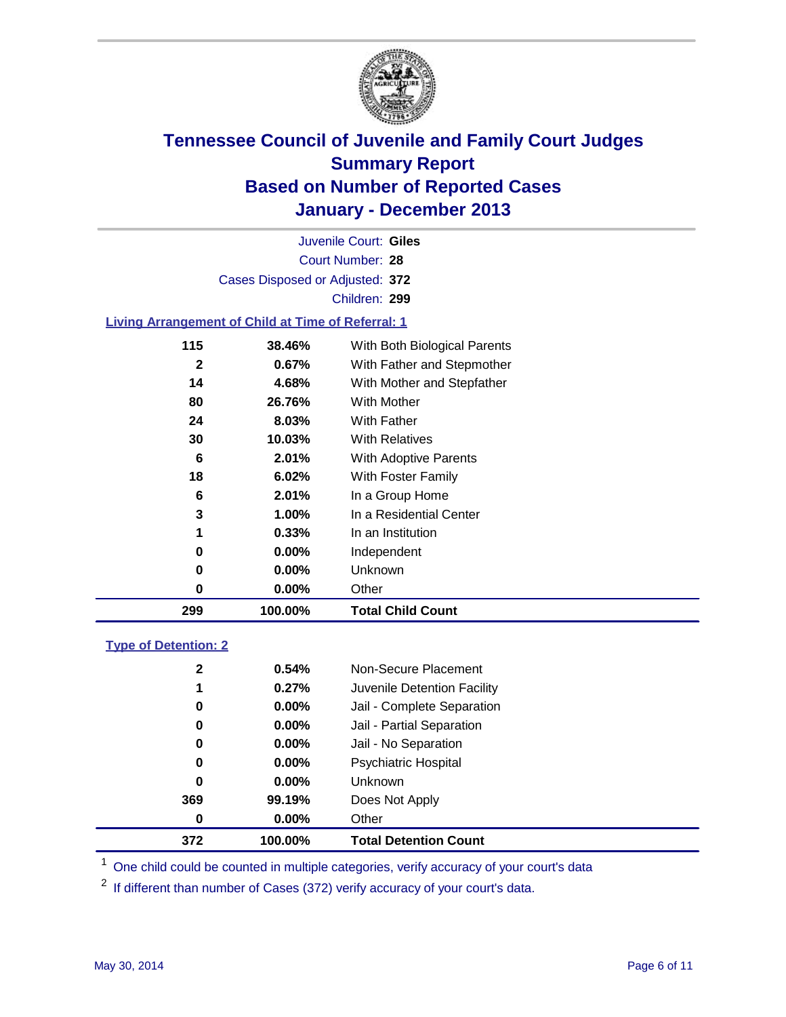

Court Number: **28** Juvenile Court: **Giles** Cases Disposed or Adjusted: **372** Children: **299**

#### **Living Arrangement of Child at Time of Referral: 1**

| 0<br>0<br>0 | 0.00%<br>$0.00\%$<br>0.00% | Independent<br>Unknown<br>Other |
|-------------|----------------------------|---------------------------------|
|             |                            |                                 |
|             |                            |                                 |
|             |                            |                                 |
| 1           | 0.33%                      | In an Institution               |
| 3           | 1.00%                      | In a Residential Center         |
| 6           | 2.01%                      | In a Group Home                 |
| 18          | 6.02%                      | With Foster Family              |
| 6           | 2.01%                      | <b>With Adoptive Parents</b>    |
| 30          | 10.03%                     | <b>With Relatives</b>           |
| 24          | 8.03%                      | With Father                     |
| 80          | 26.76%                     | With Mother                     |
| 14          | 4.68%                      | With Mother and Stepfather      |
| 2           | 0.67%                      | With Father and Stepmother      |
| 115         | 38.46%                     | With Both Biological Parents    |
|             |                            |                                 |

#### **Type of Detention: 2**

| 372          | 100.00%  | <b>Total Detention Count</b> |  |
|--------------|----------|------------------------------|--|
| 0            | 0.00%    | Other                        |  |
| 369          | 99.19%   | Does Not Apply               |  |
| 0            | $0.00\%$ | <b>Unknown</b>               |  |
| 0            | $0.00\%$ | <b>Psychiatric Hospital</b>  |  |
| 0            | 0.00%    | Jail - No Separation         |  |
| 0            | 0.00%    | Jail - Partial Separation    |  |
| 0            | 0.00%    | Jail - Complete Separation   |  |
| 1            | 0.27%    | Juvenile Detention Facility  |  |
| $\mathbf{2}$ | 0.54%    | Non-Secure Placement         |  |
|              |          |                              |  |

<sup>1</sup> One child could be counted in multiple categories, verify accuracy of your court's data

If different than number of Cases (372) verify accuracy of your court's data.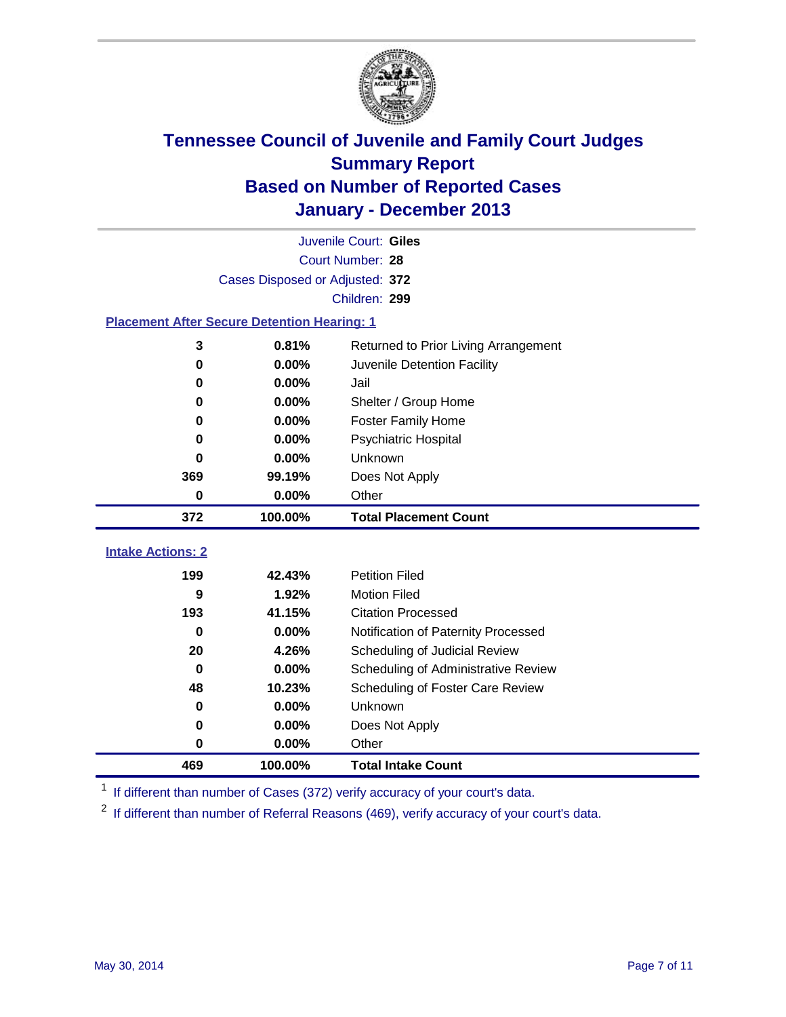

|                                                    | Juvenile Court: Giles           |                                      |  |  |  |
|----------------------------------------------------|---------------------------------|--------------------------------------|--|--|--|
|                                                    | Court Number: 28                |                                      |  |  |  |
|                                                    | Cases Disposed or Adjusted: 372 |                                      |  |  |  |
|                                                    |                                 | Children: 299                        |  |  |  |
| <b>Placement After Secure Detention Hearing: 1</b> |                                 |                                      |  |  |  |
| 3                                                  | 0.81%                           | Returned to Prior Living Arrangement |  |  |  |
| 0                                                  | 0.00%                           | Juvenile Detention Facility          |  |  |  |
| 0                                                  | 0.00%                           | Jail                                 |  |  |  |
| 0                                                  | 0.00%                           | Shelter / Group Home                 |  |  |  |
| $\bf{0}$                                           | 0.00%                           | <b>Foster Family Home</b>            |  |  |  |
| $\bf{0}$                                           | 0.00%                           | <b>Psychiatric Hospital</b>          |  |  |  |
| 0                                                  | 0.00%                           | Unknown                              |  |  |  |
| 369                                                | 99.19%                          | Does Not Apply                       |  |  |  |
| $\bf{0}$                                           | 0.00%                           | Other                                |  |  |  |
| 372                                                | 100.00%                         | <b>Total Placement Count</b>         |  |  |  |
|                                                    |                                 |                                      |  |  |  |
| <b>Intake Actions: 2</b>                           |                                 |                                      |  |  |  |
| 199                                                | 42.43%                          | <b>Petition Filed</b>                |  |  |  |
| 9                                                  | 1.92%                           | <b>Motion Filed</b>                  |  |  |  |
| 193                                                | 41.15%                          | <b>Citation Processed</b>            |  |  |  |
| $\bf{0}$                                           | 0.00%                           | Notification of Paternity Processed  |  |  |  |
| 20                                                 | 4.26%                           | Scheduling of Judicial Review        |  |  |  |
| $\bf{0}$                                           | 0.00%                           | Scheduling of Administrative Review  |  |  |  |
| 48                                                 | 10.23%                          | Scheduling of Foster Care Review     |  |  |  |
| 0                                                  | 0.00%                           | Unknown                              |  |  |  |
| 0                                                  | 0.00%                           | Does Not Apply                       |  |  |  |
| 0                                                  | 0.00%                           | Other                                |  |  |  |
| 469                                                | 100.00%                         | <b>Total Intake Count</b>            |  |  |  |

<sup>1</sup> If different than number of Cases (372) verify accuracy of your court's data.

<sup>2</sup> If different than number of Referral Reasons (469), verify accuracy of your court's data.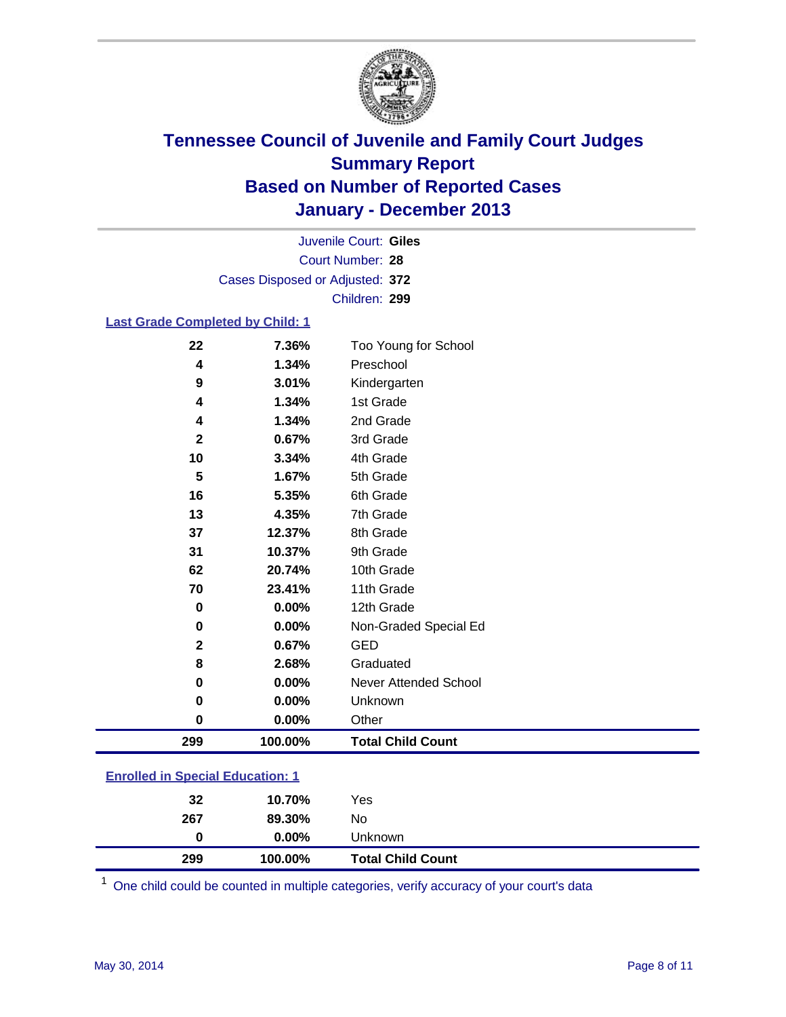

Court Number: **28** Juvenile Court: **Giles** Cases Disposed or Adjusted: **372** Children: **299**

#### **Last Grade Completed by Child: 1**

| 22          | 7.36%   | Too Young for School     |
|-------------|---------|--------------------------|
| 4           | 1.34%   | Preschool                |
| 9           | 3.01%   | Kindergarten             |
| 4           | 1.34%   | 1st Grade                |
| 4           | 1.34%   | 2nd Grade                |
| $\mathbf 2$ | 0.67%   | 3rd Grade                |
| 10          | 3.34%   | 4th Grade                |
| 5           | 1.67%   | 5th Grade                |
| 16          | 5.35%   | 6th Grade                |
| 13          | 4.35%   | 7th Grade                |
| 37          | 12.37%  | 8th Grade                |
| 31          | 10.37%  | 9th Grade                |
| 62          | 20.74%  | 10th Grade               |
| 70          | 23.41%  | 11th Grade               |
| $\pmb{0}$   | 0.00%   | 12th Grade               |
| 0           | 0.00%   | Non-Graded Special Ed    |
| $\mathbf 2$ | 0.67%   | <b>GED</b>               |
| 8           | 2.68%   | Graduated                |
| 0           | 0.00%   | Never Attended School    |
| 0           | 0.00%   | Unknown                  |
| 0           | 0.00%   | Other                    |
| 299         | 100.00% | <b>Total Child Count</b> |

| <b>Enrolled in Special Education: 1</b> |       |            |  |  |
|-----------------------------------------|-------|------------|--|--|
| ົ                                       | ADZOO | <b>Voo</b> |  |  |

| 299 | 100.00%  | <b>Total Child Count</b> |
|-----|----------|--------------------------|
| 0   | $0.00\%$ | Unknown                  |
| 267 | 89.30%   | No                       |
| 32  | 10.70%   | Yes                      |

One child could be counted in multiple categories, verify accuracy of your court's data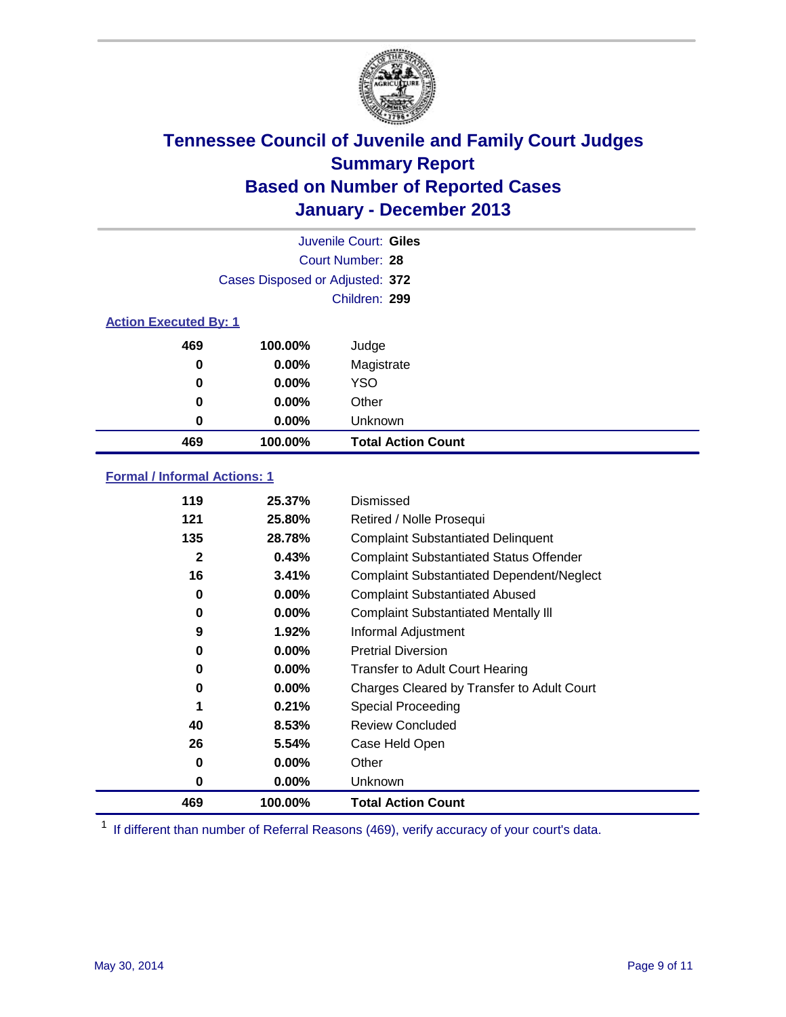

|                              |                                 | Juvenile Court: Giles     |
|------------------------------|---------------------------------|---------------------------|
|                              |                                 | Court Number: 28          |
|                              | Cases Disposed or Adjusted: 372 |                           |
|                              |                                 | Children: 299             |
| <b>Action Executed By: 1</b> |                                 |                           |
| 469                          | 100.00%                         | Judge                     |
| 0                            | $0.00\%$                        | Magistrate                |
| 0                            | $0.00\%$                        | <b>YSO</b>                |
| 0                            | $0.00\%$                        | Other                     |
| 0                            | $0.00\%$                        | Unknown                   |
| 469                          | 100.00%                         | <b>Total Action Count</b> |

### **Formal / Informal Actions: 1**

| 119          | 25.37%   | Dismissed                                        |
|--------------|----------|--------------------------------------------------|
| 121          | 25.80%   | Retired / Nolle Prosequi                         |
| 135          | 28.78%   | <b>Complaint Substantiated Delinquent</b>        |
| $\mathbf{2}$ | 0.43%    | <b>Complaint Substantiated Status Offender</b>   |
| 16           | 3.41%    | <b>Complaint Substantiated Dependent/Neglect</b> |
| 0            | $0.00\%$ | <b>Complaint Substantiated Abused</b>            |
| 0            | $0.00\%$ | <b>Complaint Substantiated Mentally III</b>      |
| 9            | $1.92\%$ | Informal Adjustment                              |
| 0            | $0.00\%$ | <b>Pretrial Diversion</b>                        |
| 0            | $0.00\%$ | <b>Transfer to Adult Court Hearing</b>           |
| 0            | $0.00\%$ | Charges Cleared by Transfer to Adult Court       |
|              | 0.21%    | Special Proceeding                               |
| 40           | 8.53%    | <b>Review Concluded</b>                          |
| 26           | 5.54%    | Case Held Open                                   |
| 0            | $0.00\%$ | Other                                            |
| 0            | $0.00\%$ | Unknown                                          |
| 469          | 100.00%  | <b>Total Action Count</b>                        |

<sup>1</sup> If different than number of Referral Reasons (469), verify accuracy of your court's data.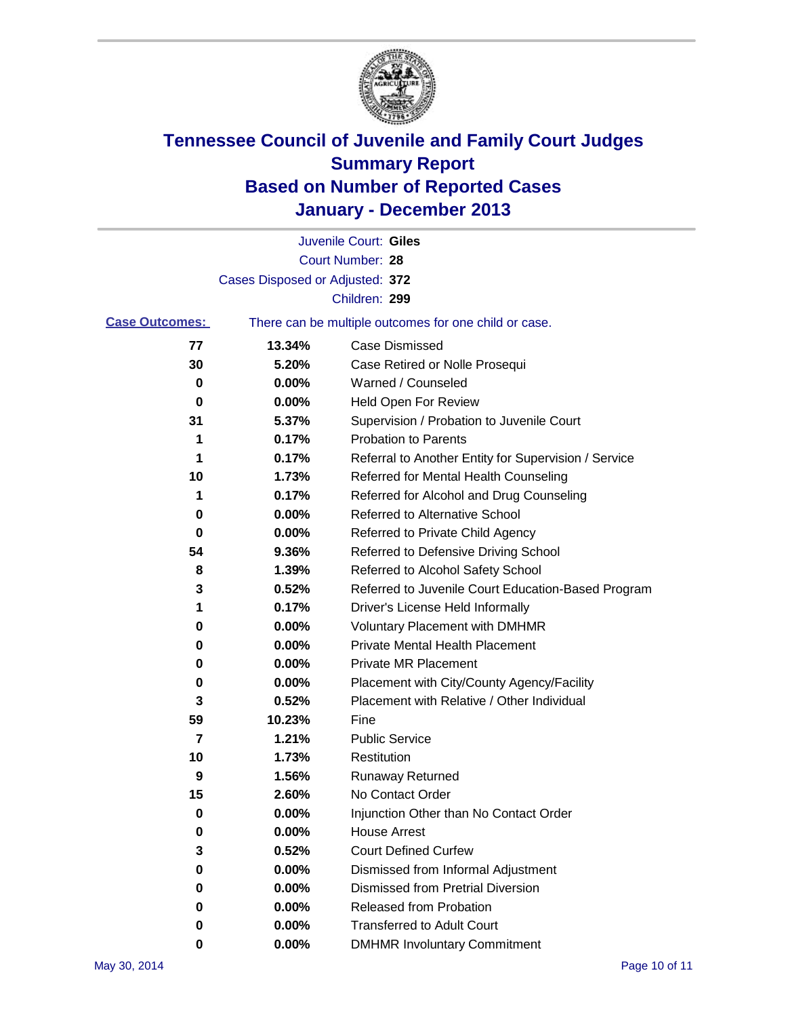

|                       |                                 | Juvenile Court: Giles                                 |
|-----------------------|---------------------------------|-------------------------------------------------------|
|                       |                                 | Court Number: 28                                      |
|                       | Cases Disposed or Adjusted: 372 |                                                       |
|                       |                                 | Children: 299                                         |
| <b>Case Outcomes:</b> |                                 | There can be multiple outcomes for one child or case. |
| 77                    | 13.34%                          | Case Dismissed                                        |
| 30                    | 5.20%                           | Case Retired or Nolle Prosequi                        |
| 0                     | 0.00%                           | Warned / Counseled                                    |
| 0                     | 0.00%                           | Held Open For Review                                  |
| 31                    | 5.37%                           | Supervision / Probation to Juvenile Court             |
| 1                     | 0.17%                           | <b>Probation to Parents</b>                           |
| 1                     | 0.17%                           | Referral to Another Entity for Supervision / Service  |
| 10                    | 1.73%                           | Referred for Mental Health Counseling                 |
| 1                     | 0.17%                           | Referred for Alcohol and Drug Counseling              |
| 0                     | 0.00%                           | Referred to Alternative School                        |
| 0                     | 0.00%                           | Referred to Private Child Agency                      |
| 54                    | 9.36%                           | Referred to Defensive Driving School                  |
| 8                     | 1.39%                           | Referred to Alcohol Safety School                     |
| 3                     | 0.52%                           | Referred to Juvenile Court Education-Based Program    |
| 1                     | 0.17%                           | Driver's License Held Informally                      |
| 0                     | 0.00%                           | <b>Voluntary Placement with DMHMR</b>                 |
| 0                     | 0.00%                           | <b>Private Mental Health Placement</b>                |
| 0                     | 0.00%                           | <b>Private MR Placement</b>                           |
| 0                     | 0.00%                           | Placement with City/County Agency/Facility            |
| 3                     | 0.52%                           | Placement with Relative / Other Individual            |
| 59                    | 10.23%                          | Fine                                                  |
| 7                     | 1.21%                           | <b>Public Service</b>                                 |
| 10                    | 1.73%                           | Restitution                                           |
| 9                     | 1.56%                           | <b>Runaway Returned</b>                               |
| 15                    | 2.60%                           | No Contact Order                                      |
| 0                     | 0.00%                           | Injunction Other than No Contact Order                |
| 0                     | 0.00%                           | <b>House Arrest</b>                                   |
| 3                     | 0.52%                           | <b>Court Defined Curfew</b>                           |
| 0                     | 0.00%                           | Dismissed from Informal Adjustment                    |
| 0                     | 0.00%                           | Dismissed from Pretrial Diversion                     |
| 0                     | 0.00%                           | Released from Probation                               |
| 0                     | 0.00%                           | <b>Transferred to Adult Court</b>                     |
| 0                     | 0.00%                           | <b>DMHMR Involuntary Commitment</b>                   |